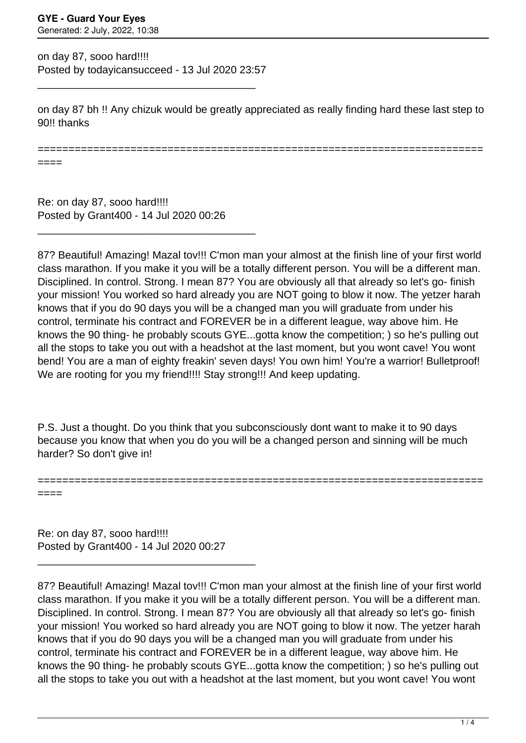on day 87, sooo hard!!!! Posted by todayicansucceed - 13 Jul 2020 23:57

\_\_\_\_\_\_\_\_\_\_\_\_\_\_\_\_\_\_\_\_\_\_\_\_\_\_\_\_\_\_\_\_\_\_\_\_\_

on day 87 bh !! Any chizuk would be greatly appreciated as really finding hard these last step to 90<sup>!!</sup> thanks

========================================================================

====

Re: on day 87, sooo hard!!!! Posted by Grant400 - 14 Jul 2020 00:26

\_\_\_\_\_\_\_\_\_\_\_\_\_\_\_\_\_\_\_\_\_\_\_\_\_\_\_\_\_\_\_\_\_\_\_\_\_

87? Beautiful! Amazing! Mazal tov!!! C'mon man your almost at the finish line of your first world class marathon. If you make it you will be a totally different person. You will be a different man. Disciplined. In control. Strong. I mean 87? You are obviously all that already so let's go- finish your mission! You worked so hard already you are NOT going to blow it now. The yetzer harah knows that if you do 90 days you will be a changed man you will graduate from under his control, terminate his contract and FOREVER be in a different league, way above him. He knows the 90 thing- he probably scouts GYE...gotta know the competition; ) so he's pulling out all the stops to take you out with a headshot at the last moment, but you wont cave! You wont bend! You are a man of eighty freakin' seven days! You own him! You're a warrior! Bulletproof! We are rooting for you my friend!!!! Stay strong!!! And keep updating.

P.S. Just a thought. Do you think that you subconsciously dont want to make it to 90 days because you know that when you do you will be a changed person and sinning will be much harder? So don't give in!

======================================================================== ====

Re: on day 87, sooo hard!!!! Posted by Grant400 - 14 Jul 2020 00:27

\_\_\_\_\_\_\_\_\_\_\_\_\_\_\_\_\_\_\_\_\_\_\_\_\_\_\_\_\_\_\_\_\_\_\_\_\_

87? Beautiful! Amazing! Mazal tov!!! C'mon man your almost at the finish line of your first world class marathon. If you make it you will be a totally different person. You will be a different man. Disciplined. In control. Strong. I mean 87? You are obviously all that already so let's go- finish your mission! You worked so hard already you are NOT going to blow it now. The yetzer harah knows that if you do 90 days you will be a changed man you will graduate from under his control, terminate his contract and FOREVER be in a different league, way above him. He knows the 90 thing- he probably scouts GYE...gotta know the competition; ) so he's pulling out all the stops to take you out with a headshot at the last moment, but you wont cave! You wont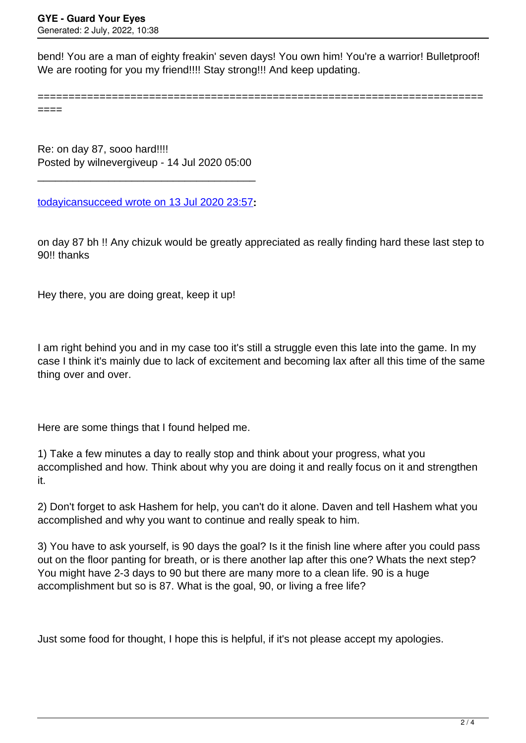bend! You are a man of eighty freakin' seven days! You own him! You're a warrior! Bulletproof! We are rooting for you my friend!!!! Stay strong!!! And keep updating.

========================================================================

====

Re: on day 87, sooo hard!!!! Posted by wilnevergiveup - 14 Jul 2020 05:00

\_\_\_\_\_\_\_\_\_\_\_\_\_\_\_\_\_\_\_\_\_\_\_\_\_\_\_\_\_\_\_\_\_\_\_\_\_

[todayicansucceed wrote on 13 Jul 2020 23:57](/forum/4-On-the-Way-to-90-Days/352536-on-day-87-sooo-hard%21%21%21%21)**:**

on day 87 bh !! Any chizuk would be greatly appreciated as really finding hard these last step to 90!! thanks

Hey there, you are doing great, keep it up!

I am right behind you and in my case too it's still a struggle even this late into the game. In my case I think it's mainly due to lack of excitement and becoming lax after all this time of the same thing over and over.

Here are some things that I found helped me.

1) Take a few minutes a day to really stop and think about your progress, what you accomplished and how. Think about why you are doing it and really focus on it and strengthen it.

2) Don't forget to ask Hashem for help, you can't do it alone. Daven and tell Hashem what you accomplished and why you want to continue and really speak to him.

3) You have to ask yourself, is 90 days the goal? Is it the finish line where after you could pass out on the floor panting for breath, or is there another lap after this one? Whats the next step? You might have 2-3 days to 90 but there are many more to a clean life. 90 is a huge accomplishment but so is 87. What is the goal, 90, or living a free life?

Just some food for thought, I hope this is helpful, if it's not please accept my apologies.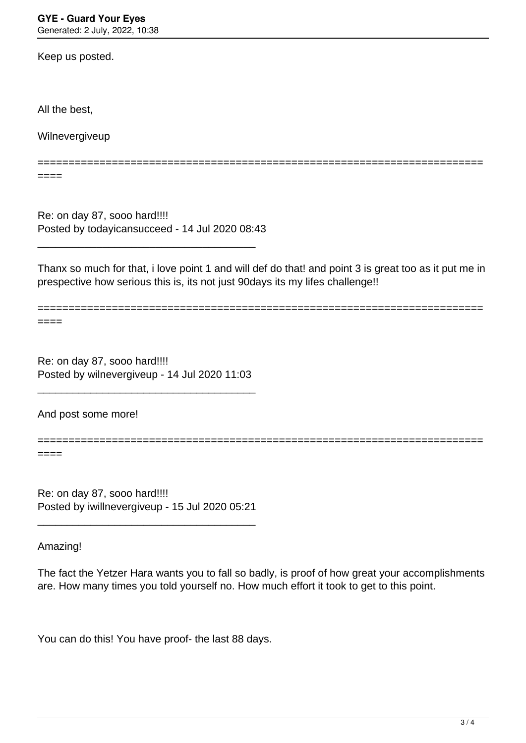Keep us posted.

All the best,

Wilnevergiveup

====

Re: on day 87, sooo hard!!!! Posted by todayicansucceed - 14 Jul 2020 08:43

\_\_\_\_\_\_\_\_\_\_\_\_\_\_\_\_\_\_\_\_\_\_\_\_\_\_\_\_\_\_\_\_\_\_\_\_\_

Thanx so much for that, i love point 1 and will def do that! and point 3 is great too as it put me in prespective how serious this is, its not just 90days its my lifes challenge!!

========================================================================

========================================================================

====

====

Re: on day 87, sooo hard!!!! Posted by wilnevergiveup - 14 Jul 2020 11:03

\_\_\_\_\_\_\_\_\_\_\_\_\_\_\_\_\_\_\_\_\_\_\_\_\_\_\_\_\_\_\_\_\_\_\_\_\_

And post some more!

========================================================================

Re: on day 87, sooo hard!!!! Posted by iwillnevergiveup - 15 Jul 2020 05:21

\_\_\_\_\_\_\_\_\_\_\_\_\_\_\_\_\_\_\_\_\_\_\_\_\_\_\_\_\_\_\_\_\_\_\_\_\_

Amazing!

The fact the Yetzer Hara wants you to fall so badly, is proof of how great your accomplishments are. How many times you told yourself no. How much effort it took to get to this point.

You can do this! You have proof- the last 88 days.